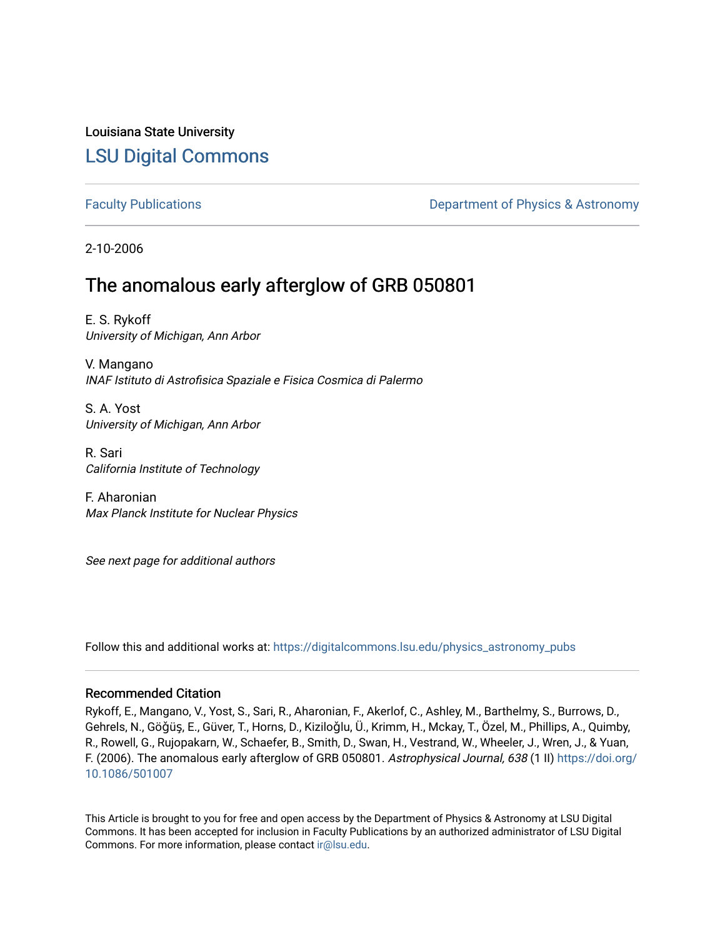# Louisiana State University [LSU Digital Commons](https://digitalcommons.lsu.edu/)

[Faculty Publications](https://digitalcommons.lsu.edu/physics_astronomy_pubs) **Exercise 2 and Table 2 and Table 2 and Table 2 and Table 2 and Table 2 and Table 2 and Table 2 and Table 2 and Table 2 and Table 2 and Table 2 and Table 2 and Table 2 and Table 2 and Table 2 and Table** 

2-10-2006

# The anomalous early afterglow of GRB 050801

E. S. Rykoff University of Michigan, Ann Arbor

V. Mangano INAF Istituto di Astrofisica Spaziale e Fisica Cosmica di Palermo

S. A. Yost University of Michigan, Ann Arbor

R. Sari California Institute of Technology

F. Aharonian Max Planck Institute for Nuclear Physics

See next page for additional authors

Follow this and additional works at: [https://digitalcommons.lsu.edu/physics\\_astronomy\\_pubs](https://digitalcommons.lsu.edu/physics_astronomy_pubs?utm_source=digitalcommons.lsu.edu%2Fphysics_astronomy_pubs%2F4724&utm_medium=PDF&utm_campaign=PDFCoverPages) 

# Recommended Citation

Rykoff, E., Mangano, V., Yost, S., Sari, R., Aharonian, F., Akerlof, C., Ashley, M., Barthelmy, S., Burrows, D., Gehrels, N., Göǧüş, E., Güver, T., Horns, D., Kiziloǧlu, Ü., Krimm, H., Mckay, T., Özel, M., Phillips, A., Quimby, R., Rowell, G., Rujopakarn, W., Schaefer, B., Smith, D., Swan, H., Vestrand, W., Wheeler, J., Wren, J., & Yuan, F. (2006). The anomalous early afterglow of GRB 050801. Astrophysical Journal, 638 (1 II) [https://doi.org/](https://doi.org/10.1086/501007) [10.1086/501007](https://doi.org/10.1086/501007)

This Article is brought to you for free and open access by the Department of Physics & Astronomy at LSU Digital Commons. It has been accepted for inclusion in Faculty Publications by an authorized administrator of LSU Digital Commons. For more information, please contact [ir@lsu.edu](mailto:ir@lsu.edu).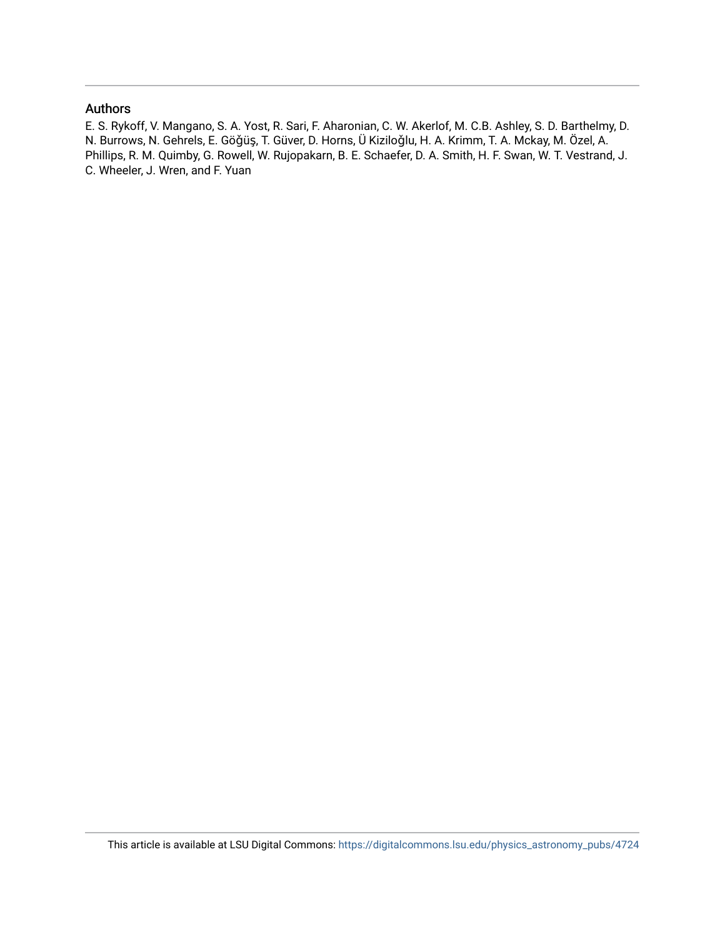## Authors

E. S. Rykoff, V. Mangano, S. A. Yost, R. Sari, F. Aharonian, C. W. Akerlof, M. C.B. Ashley, S. D. Barthelmy, D. N. Burrows, N. Gehrels, E. Göǧüş, T. Güver, D. Horns, Ü Kiziloǧlu, H. A. Krimm, T. A. Mckay, M. Özel, A. Phillips, R. M. Quimby, G. Rowell, W. Rujopakarn, B. E. Schaefer, D. A. Smith, H. F. Swan, W. T. Vestrand, J. C. Wheeler, J. Wren, and F. Yuan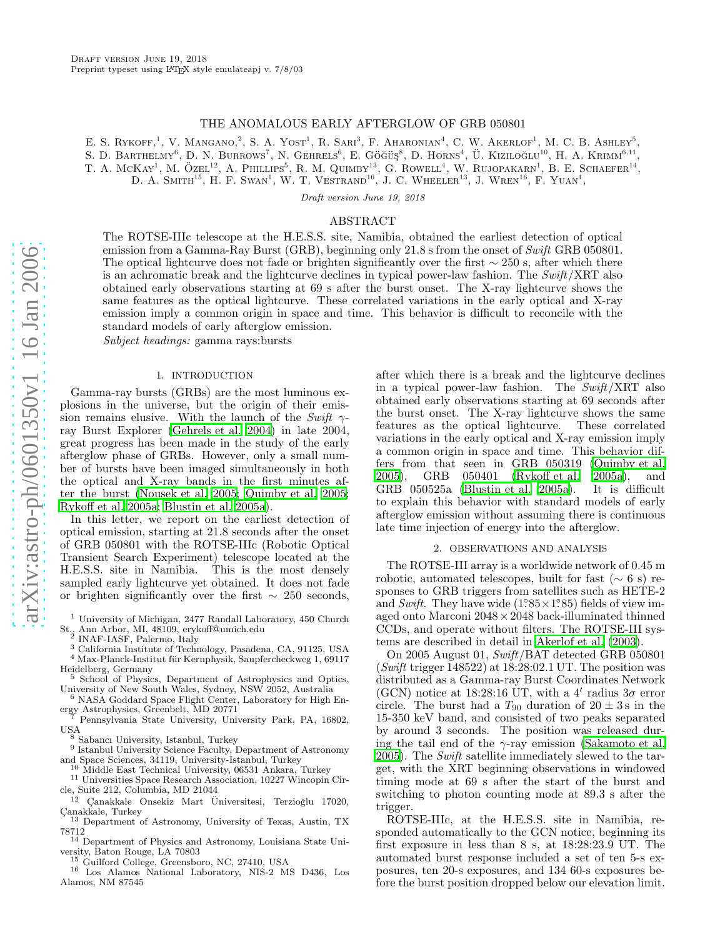#### THE ANOMALOUS EARLY AFTERGLOW OF GRB 050801

E. S. RYKOFF,<sup>1</sup>, V. MANGANO,<sup>2</sup>, S. A. YOST<sup>1</sup>, R. SARI<sup>3</sup>, F. AHARONIAN<sup>4</sup>, C. W. AKERLOF<sup>1</sup>, M. C. B. ASHLEY<sup>5</sup>,

S. D. BARTHELMY<sup>6</sup>, D. N. BURROWS<sup>7</sup>, N. GEHRELS<sup>6</sup>, E. GÖĞÜŞ<sup>8</sup>, D. HORNS<sup>4</sup>, Ü. KIZILOĞLU<sup>10</sup>, H. A. KRIMM<sup>6,11</sup>,

T. A. MCKAY<sup>1</sup>, M. ÖZEL<sup>12</sup>, A. PHILLIPS<sup>5</sup>, R. M. QUIMBY<sup>13</sup>, G. ROWELL<sup>4</sup>, W. RUJOPAKARN<sup>1</sup>, B. E. SCHAEFER<sup>14</sup>,

D. A. SMITH<sup>15</sup>, H. F. SWAN<sup>1</sup>, W. T. VESTRAND<sup>16</sup>, J. C. WHEELER<sup>13</sup>, J. WREN<sup>16</sup>, F. YUAN<sup>1</sup>,

Draft version June 19, 2018

## ABSTRACT

The ROTSE-IIIc telescope at the H.E.S.S. site, Namibia, obtained the earliest detection of optical emission from a Gamma-Ray Burst (GRB), beginning only 21.8 s from the onset of Swift GRB 050801. The optical lightcurve does not fade or brighten significantly over the first  $\sim 250$  s, after which there is an achromatic break and the lightcurve declines in typical power-law fashion. The Swift/XRT also obtained early observations starting at 69 s after the burst onset. The X-ray lightcurve shows the same features as the optical lightcurve. These correlated variations in the early optical and X-ray emission imply a common origin in space and time. This behavior is difficult to reconcile with the standard models of early afterglow emission.

Subject headings: gamma rays:bursts

#### 1. INTRODUCTION

Gamma-ray bursts (GRBs) are the most luminous explosions in the universe, but the origin of their emission remains elusive. With the launch of the Swift  $\gamma$ ray Burst Explorer [\(Gehrels et al. 2004\)](#page-6-0) in late 2004, great progress has been made in the study of the early afterglow phase of GRBs. However, only a small number of bursts have been imaged simultaneously in both the optical and X-ray bands in the first minutes after the burst [\(Nousek et al. 2005;](#page-6-1) [Quimby et al. 2005;](#page-6-2) [Rykoff et al. 2005a;](#page-6-3) [Blustin et al. 2005a](#page-6-4)).

In this letter, we report on the earliest detection of optical emission, starting at 21.8 seconds after the onset of GRB 050801 with the ROTSE-IIIc (Robotic Optical Transient Search Experiment) telescope located at the H.E.S.S. site in Namibia. This is the most densely sampled early lightcurve yet obtained. It does not fade or brighten significantly over the first  $\sim$  250 seconds,

- $^2$  INAF-IASF, Palermo, Italy<br> $^3$  California Institute of Technology, Pasadena, CA, 91125, USA
- $^4$ Max-Planck-Institut für Kernphysik, Saupfercheckweg 1, 69117, Heidelberg, Germany
- $5$  School of Physics, Department of Astrophysics and Optics,
- University of New South Wales, Sydney, NSW 2052, Australia <sup>6</sup> NASA Goddard Space Flight Center, Laboratory for High Energy Astrophysics, Greenbelt, MD 20771
- Pennsylvania State University, University Park, PA, 16802, USA<br> $8$  Sabancı University, Istanbul, Turkey 9. Sabancı 9. Sabancı 9. Sabancı 9. Sabancı 9. Sabancı 9. Sabancı 9. Sabancı 9. Sabancı 9. Sabancı 9. Sabancı 9. Sabancı 9. Sabancı 9. Sabancı 9. Sabancı 9. Sabancı 9. Sabancı
	-
- <sup>9</sup> Istanbul University Science Faculty, Department of Astronomy and Space Sciences, 34119, University-Istanbul, Turkey
- <sup>10</sup> Middle East Technical University, 06531 Ankara, Turkey
- $^{11}$ Universities Space Research Association, 10227 Wincopin Circle, Suite 212, Columbia, MD 21044
- $12$  Çanakkale Onsekiz Mart Üniversitesi, Terzioğlu 17020, Canakkale, Turkey
- <sup>13</sup> Department of Astronomy, University of Texas, Austin, TX 78712

<sup>14</sup> Department of Physics and Astronomy, Louisiana State University, Baton Rouge, LA 70803

<sup>15</sup> Guilford College, Greensboro, NC, 27410, USA

<sup>16</sup> Los Alamos National Laboratory, NIS-2 MS D436, Los Alamos, NM 87545

after which there is a break and the lightcurve declines in a typical power-law fashion. The Swift/XRT also obtained early observations starting at 69 seconds after the burst onset. The X-ray lightcurve shows the same features as the optical lightcurve. These correlated variations in the early optical and X-ray emission imply a common origin in space and time. This behavior differs from that seen in GRB 050319 [\(Quimby et al.](#page-6-2) [2005\)](#page-6-2), GRB 050401 [\(Rykoff et al. 2005a\)](#page-6-3), and GRB 050525a [\(Blustin et al. 2005a\)](#page-6-4). It is difficult to explain this behavior with standard models of early afterglow emission without assuming there is continuous late time injection of energy into the afterglow.

### 2. OBSERVATIONS AND ANALYSIS

The ROTSE-III array is a worldwide network of 0.45 m robotic, automated telescopes, built for fast  $(\sim 6 \text{ s})$  responses to GRB triggers from satellites such as HETE-2 and Swift. They have wide  $(1°85 \times 1°85)$  fields of view imaged onto Marconi 2048×2048 back-illuminated thinned CCDs, and operate without filters. The ROTSE-III systems are described in detail in [Akerlof et al. \(2003](#page-6-5)).

On 2005 August 01, Swift/BAT detected GRB 050801 (Swift trigger  $148522$ ) at  $18:28:02.1$  UT. The position was distributed as a Gamma-ray Burst Coordinates Network (GCN) notice at 18:28:16 UT, with a 4' radius  $3\sigma$  error circle. The burst had a  $T_{90}$  duration of  $20 \pm 3$  s in the 15-350 keV band, and consisted of two peaks separated by around 3 seconds. The position was released during the tail end of the  $\gamma$ -ray emission [\(Sakamoto et al.](#page-6-6) [2005\)](#page-6-6). The Swift satellite immediately slewed to the target, with the XRT beginning observations in windowed timing mode at 69 s after the start of the burst and switching to photon counting mode at 89.3 s after the trigger.

ROTSE-IIIc, at the H.E.S.S. site in Namibia, responded automatically to the GCN notice, beginning its first exposure in less than 8 s, at 18:28:23.9 UT. The automated burst response included a set of ten 5-s exposures, ten 20-s exposures, and 134 60-s exposures before the burst position dropped below our elevation limit.

<sup>&</sup>lt;sup>1</sup> University of Michigan, 2477 Randall Laboratory, 450 Church St., Ann Arbor, MI, 48109, erykoff@umich.edu <sup>2</sup>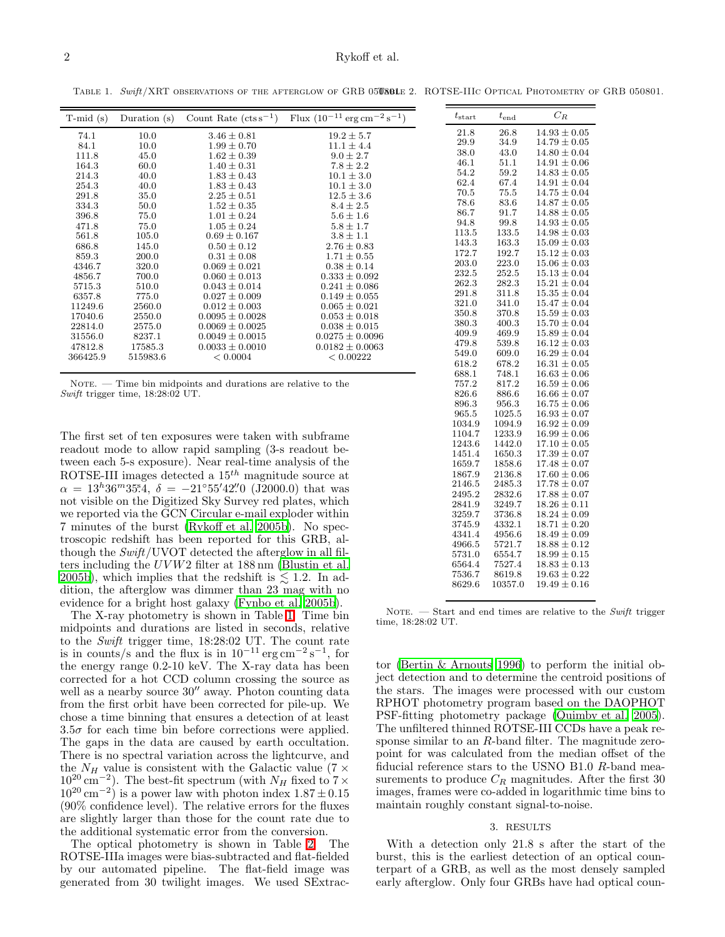<span id="page-3-1"></span>TABLE 1. Swift/XRT OBSERVATIONS OF THE AFTERGLOW OF GRB 05080LE 2. ROTSE-IIIC OPTICAL PHOTOMETRY OF GRB 050801.

<span id="page-3-0"></span>

| $T$ -mid $(s)$                                                                      | Duration $(s)$ | Count Rate $(\text{cts s}^{-1})$ | Flux $(10^{-11} \text{ erg cm}^{-2} \text{ s}^{-1})$ | $t_{\rm start}$ | $t_{\rm end}$ | $C_R$            |
|-------------------------------------------------------------------------------------|----------------|----------------------------------|------------------------------------------------------|-----------------|---------------|------------------|
| 74.1                                                                                | 10.0           | $3.46 \pm 0.81$                  | $19.2 \pm 5.7$                                       | 21.8            | 26.8          | $14.93 \pm 0.05$ |
| 84.1                                                                                | 10.0           | $1.99 \pm 0.70$                  | $11.1 \pm 4.4$                                       | 29.9            | 34.9          | $14.79 \pm 0.05$ |
| 111.8                                                                               | 45.0           | $1.62 \pm 0.39$                  | $9.0 \pm 2.7$                                        | 38.0            | 43.0          | $14.80 \pm 0.04$ |
| 164.3                                                                               | 60.0           | $1.40 \pm 0.31$                  | $7.8 \pm 2.2$                                        | 46.1            | 51.1          | $14.91 \pm 0.06$ |
| 214.3                                                                               | 40.0           | $1.83 \pm 0.43$                  | $10.1 \pm 3.0$                                       | 54.2            | 59.2          | $14.83 \pm 0.05$ |
| 254.3                                                                               | 40.0           | $1.83 \pm 0.43$                  | $10.1 \pm 3.0$                                       | 62.4            | 67.4          | $14.91 \pm 0.04$ |
| 291.8                                                                               | 35.0           | $2.25 \pm 0.51$                  | $12.5 \pm 3.6$                                       | 70.5            | 75.5          | $14.75 \pm 0.04$ |
| 334.3                                                                               | 50.0           | $1.52 \pm 0.35$                  | $8.4 \pm 2.5$                                        | 78.6            | 83.6          | $14.87 \pm 0.05$ |
| 396.8                                                                               | 75.0           | $1.01 \pm 0.24$                  | $5.6 \pm 1.6$                                        | 86.7            | 91.7          | $14.88 \pm 0.05$ |
| 471.8                                                                               | 75.0           | $1.05 \pm 0.24$                  | $5.8 \pm 1.7$                                        | 94.8            | 99.8          | $14.93 \pm 0.05$ |
| 561.8                                                                               | 105.0          | $0.69 \pm 0.167$                 | $3.8 \pm 1.1$                                        | 113.5           | 133.5         | $14.98 \pm 0.03$ |
| 686.8                                                                               | 145.0          | $0.50 \pm 0.12$                  | $2.76 \pm 0.83$                                      | 143.3           | 163.3         | $15.09 \pm 0.03$ |
| 859.3                                                                               | 200.0          | $0.31 \pm 0.08$                  | $1.71 \pm 0.55$                                      | 172.7           | 192.7         | $15.12 \pm 0.03$ |
| 4346.7                                                                              | 320.0          | $0.069 \pm 0.021$                | $0.38 \pm 0.14$                                      | 203.0           | 223.0         | $15.06 \pm 0.03$ |
| 4856.7                                                                              | 700.0          | $0.060 \pm 0.013$                | $0.333 \pm 0.092$                                    | 232.5           | 252.5         | $15.13 \pm 0.04$ |
| 5715.3                                                                              | 510.0          | $0.043 \pm 0.014$                | $0.241 \pm 0.086$                                    | 262.3           | 282.3         | $15.21 \pm 0.04$ |
| 6357.8                                                                              | 775.0          | $0.027 \pm 0.009$                | $0.149 \pm 0.055$                                    | 291.8           | 311.8         | $15.35 \pm 0.04$ |
| 11249.6                                                                             | 2560.0         | $0.012 \pm 0.003$                | $0.065 \pm 0.021$                                    | 321.0           | 341.0         | $15.47 \pm 0.04$ |
| 17040.6                                                                             | 2550.0         | $0.0095 \pm 0.0028$              | $0.053 \pm 0.018$                                    | 350.8           | 370.8         | $15.59 \pm 0.03$ |
| 22814.0                                                                             | 2575.0         | $0.0069 \pm 0.0025$              | $0.038 \pm 0.015$                                    | 380.3           | 400.3         | $15.70 \pm 0.04$ |
| 31556.0                                                                             | 8237.1         | $0.0049 \pm 0.0015$              | $0.0275 \pm 0.0096$                                  | 409.9           | 469.9         | $15.89 \pm 0.04$ |
| 47812.8                                                                             | 17585.3        | $0.0033 \pm 0.0010$              | $0.0182 \pm 0.0063$                                  | 479.8           | 539.8         | $16.12 \pm 0.03$ |
| 366425.9                                                                            | 515983.6       | < 0.0004                         | < 0.00222                                            | 549.0           | 609.0         | $16.29 \pm 0.04$ |
|                                                                                     |                |                                  |                                                      | 618.2           | 678.2         | $16.31 \pm 0.05$ |
|                                                                                     |                |                                  |                                                      | 688.1           | 748.1         | $16.63 \pm 0.06$ |
| NOTE. $\overline{\phantom{a}}$ Time bin midpoints and durations are relative to the | 757.2          | 817.2                            | $16.59 \pm 0.06$                                     |                 |               |                  |
|                                                                                     |                |                                  |                                                      |                 |               |                  |

Swift trigger time, 18:28:02 UT.

The first set of ten exposures were taken with subframe readout mode to allow rapid sampling (3-s readout between each 5-s exposure). Near real-time analysis of the ROTSE-III images detected a  $15<sup>th</sup>$  magnitude source at  $\alpha = 13^h 36^m 35^s 4$ ,  $\delta = -21°55' 42'' 0$  (J2000.0) that was not visible on the Digitized Sky Survey red plates, which we reported via the GCN Circular e-mail exploder within 7 minutes of the burst [\(Rykoff et al. 2005b\)](#page-6-7). No spectroscopic redshift has been reported for this GRB, although the  $Swith/UVOT$  detected the afterglow in all filters including the UV W2 filter at 188 nm [\(Blustin et al.](#page-6-8) [2005b](#page-6-8)), which implies that the redshift is  $\leq 1.2$ . In addition, the afterglow was dimmer than 23 mag with no evidence for a bright host galaxy [\(Fynbo et al. 2005b](#page-6-9)).

The X-ray photometry is shown in Table [1.](#page-3-0) Time bin midpoints and durations are listed in seconds, relative to the Swift trigger time, 18:28:02 UT. The count rate is in counts/s and the flux is in  $10^{-11}$  erg cm<sup>-2</sup> s<sup>-1</sup>, for the energy range 0.2-10 keV. The X-ray data has been corrected for a hot CCD column crossing the source as well as a nearby source  $30''$  away. Photon counting data from the first orbit have been corrected for pile-up. We chose a time binning that ensures a detection of at least  $3.5\sigma$  for each time bin before corrections were applied. The gaps in the data are caused by earth occultation. There is no spectral variation across the lightcurve, and the  $N_H$  value is consistent with the Galactic value (7  $\times$  $10^{20}$  cm<sup>-2</sup>). The best-fit spectrum (with  $N_H$  fixed to  $7 \times$  $10^{20}$  cm<sup>-2</sup>) is a power law with photon index  $1.87 \pm 0.15$ (90% confidence level). The relative errors for the fluxes are slightly larger than those for the count rate due to the additional systematic error from the conversion.

The optical photometry is shown in Table [2.](#page-3-1) The ROTSE-IIIa images were bias-subtracted and flat-fielded by our automated pipeline. The flat-field image was generated from 30 twilight images. We used SExtrac-

|                                                                                          |  | $6564.4$ $7527.4$ $18.83 \pm 0.13$<br>$7536.7$ $8619.8$ $19.63 \pm 0.22$<br>$8629.6$ $10357.0$ $19.49 + 0.16$ |  |  |  |  |  |  |  |
|------------------------------------------------------------------------------------------|--|---------------------------------------------------------------------------------------------------------------|--|--|--|--|--|--|--|
| NOTE. $\sim$ Start and end times are relative to the Swift trigger<br>time, 18:28:02 UT. |  |                                                                                                               |  |  |  |  |  |  |  |

 $5731.0$   $6554.7$   $18.99 \pm 0.15$ 

 $\begin{array}{lllll} 826.6 & 886.6 & 16.66 \pm 0.07 \\ 896.3 & 956.3 & 16.75 \pm 0.06 \end{array}$ 896.3 956.3  $16.75 \pm 0.06$ <br>965.5 1025.5  $16.93 \pm 0.07$ 965.5 1025.5 16.93  $\pm$  0.07<br>1034.9 1094.9 16.92  $\pm$  0.09  $1034.9$   $1094.9$   $16.92 \pm 0.09$ <br> $1104.7$   $1233.9$   $16.99 \pm 0.06$  $\begin{array}{cccc} 1104.7 & 1233.9 & 16.99 \pm 0.06 \\ 1243.6 & 1442.0 & 17.10 \pm 0.05 \end{array}$  $1243.6$   $1442.0$   $17.10 \pm 0.05$ <br> $1451.4$   $1650.3$   $17.39 \pm 0.07$ 

 $1659.7$   $1858.6$   $17.48 \pm 0.07$ <br>  $1867.9$   $2136.8$   $17.60 \pm 0.06$  $1867.9$   $2136.8$   $17.60 \pm 0.06$ <br>  $2146.5$   $2485.3$   $17.78 \pm 0.07$  $2146.5$   $2485.3$   $17.78 \pm 0.07$ <br>  $2495.2$   $2832.6$   $17.88 \pm 0.07$  $2495.2$   $2832.6$   $17.88 \pm 0.07$ <br> $2841.9$   $3249.7$   $18.26 \pm 0.11$  $\begin{array}{cccc} 2841.9 & 3249.7 & 18.26 \pm 0.11 \\ 3259.7 & 3736.8 & 18.24 \pm 0.09 \end{array}$  $\begin{array}{cccc} 3259.7 & 3736.8 & 18.24 \pm 0.09 \\ 3745.9 & 4332.1 & 18.71 \pm 0.20 \end{array}$  $3745.9$   $4332.1$   $18.71 \pm 0.20$ <br> $4341.4$   $4956.6$   $18.49 \pm 0.09$ 4341.4 4956.6  $18.49 \pm 0.09$ <br>4966.5 5721.7  $18.88 \pm 0.12$ 

 $17.39 \pm 0.07$ 

 $18.88 \pm 0.12$ 

tor [\(Bertin & Arnouts 1996](#page-6-10)) to perform the initial object detection and to determine the centroid positions of the stars. The images were processed with our custom RPHOT photometry program based on the DAOPHOT PSF-fitting photometry package [\(Quimby et al. 2005](#page-6-2)). The unfiltered thinned ROTSE-III CCDs have a peak response similar to an R-band filter. The magnitude zeropoint for was calculated from the median offset of the fiducial reference stars to the USNO B1.0 R-band measurements to produce  $C_R$  magnitudes. After the first 30 images, frames were co-added in logarithmic time bins to maintain roughly constant signal-to-noise.

#### 3. RESULTS

With a detection only 21.8 s after the start of the burst, this is the earliest detection of an optical counterpart of a GRB, as well as the most densely sampled early afterglow. Only four GRBs have had optical coun-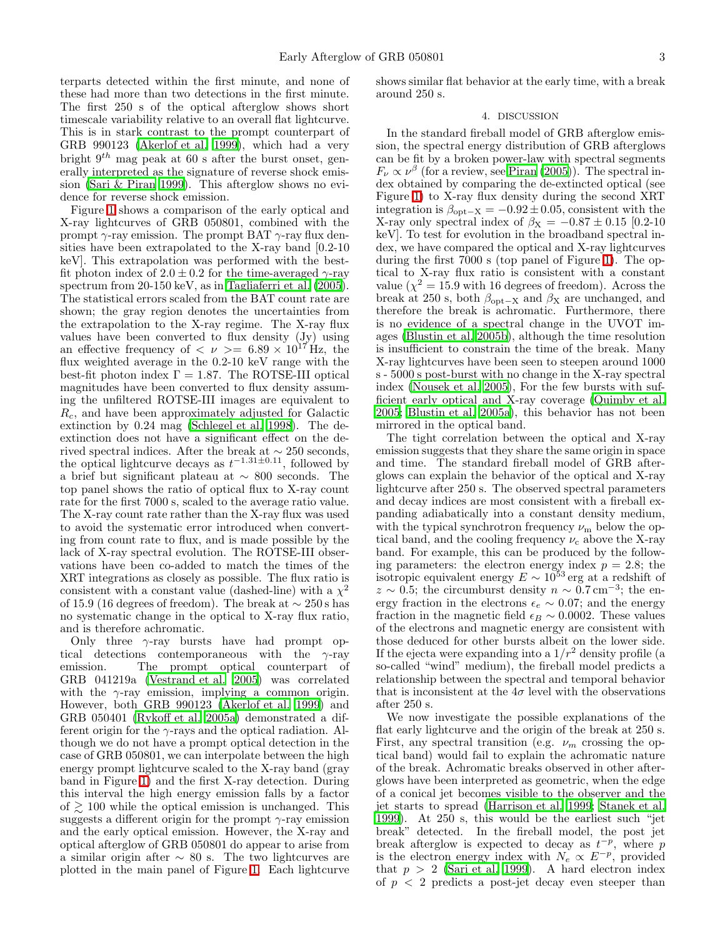terparts detected within the first minute, and none of these had more than two detections in the first minute. The first 250 s of the optical afterglow shows short timescale variability relative to an overall flat lightcurve. This is in stark contrast to the prompt counterpart of GRB 990123 [\(Akerlof et al. 1999\)](#page-6-11), which had a very bright  $9<sup>th</sup>$  mag peak at 60 s after the burst onset, generally interpreted as the signature of reverse shock emission [\(Sari & Piran 1999\)](#page-6-12). This afterglow shows no evidence for reverse shock emission.

Figure [1](#page-5-0) shows a comparison of the early optical and X-ray lightcurves of GRB 050801, combined with the prompt  $\gamma$ -ray emission. The prompt BAT  $\gamma$ -ray flux densities have been extrapolated to the X-ray band [0.2-10 keV]. This extrapolation was performed with the bestfit photon index of  $2.0 \pm 0.2$  for the time-averaged  $\gamma$ -ray spectrum from 20-150 keV, as in [Tagliaferri et al. \(2005\)](#page-6-13). The statistical errors scaled from the BAT count rate are shown; the gray region denotes the uncertainties from the extrapolation to the X-ray regime. The X-ray flux values have been converted to flux density (Jy) using an effective frequency of  $\langle \nu \rangle = 6.89 \times 10^{17}$  Hz, the flux weighted average in the 0.2-10 keV range with the best-fit photon index  $\Gamma = 1.87$ . The ROTSE-III optical magnitudes have been converted to flux density assuming the unfiltered ROTSE-III images are equivalent to  $R_c$ , and have been approximately adjusted for Galactic extinction by 0.24 mag [\(Schlegel et al. 1998](#page-6-14)). The deextinction does not have a significant effect on the derived spectral indices. After the break at  $\sim$  250 seconds, the optical lightcurve decays as  $t^{-1.31 \pm 0.11}$ , followed by a brief but significant plateau at ∼ 800 seconds. The top panel shows the ratio of optical flux to X-ray count rate for the first 7000 s, scaled to the average ratio value. The X-ray count rate rather than the X-ray flux was used to avoid the systematic error introduced when converting from count rate to flux, and is made possible by the lack of X-ray spectral evolution. The ROTSE-III observations have been co-added to match the times of the XRT integrations as closely as possible. The flux ratio is consistent with a constant value (dashed-line) with a  $\chi^2$ of 15.9 (16 degrees of freedom). The break at  $\sim$  250 s has no systematic change in the optical to X-ray flux ratio, and is therefore achromatic.

Only three  $\gamma$ -ray bursts have had prompt optical detections contemporaneous with the  $\gamma$ -ray emission. The prompt optical counterpart of GRB 041219a [\(Vestrand et al. 2005\)](#page-6-15) was correlated with the  $\gamma$ -ray emission, implying a common origin. However, both GRB 990123 [\(Akerlof et al. 1999\)](#page-6-11) and GRB 050401 [\(Rykoff et al. 2005a\)](#page-6-3) demonstrated a different origin for the  $\gamma$ -rays and the optical radiation. Although we do not have a prompt optical detection in the case of GRB 050801, we can interpolate between the high energy prompt lightcurve scaled to the X-ray band (gray band in Figure [1\)](#page-5-0) and the first X-ray detection. During this interval the high energy emission falls by a factor of  $\geq 100$  while the optical emission is unchanged. This suggests a different origin for the prompt  $\gamma$ -ray emission and the early optical emission. However, the X-ray and optical afterglow of GRB 050801 do appear to arise from a similar origin after  $\sim 80$  s. The two lightcurves are plotted in the main panel of Figure [1.](#page-5-0) Each lightcurve

shows similar flat behavior at the early time, with a break around 250 s.

### 4. DISCUSSION

In the standard fireball model of GRB afterglow emission, the spectral energy distribution of GRB afterglows can be fit by a broken power-law with spectral segments  $F_{\nu} \propto \nu^{\beta}$  (for a review, see [Piran \(2005\)](#page-6-16)). The spectral index obtained by comparing the de-extincted optical (see Figure [1\)](#page-5-0) to X-ray flux density during the second XRT integration is  $\beta_{\text{opt}-X} = -0.92 \pm 0.05$ , consistent with the X-ray only spectral index of  $\beta_{\text{X}} = -0.87 \pm 0.15$  [0.2-10] keV]. To test for evolution in the broadband spectral index, we have compared the optical and X-ray lightcurves during the first 7000 s (top panel of Figure [1\)](#page-5-0). The optical to X-ray flux ratio is consistent with a constant value ( $\chi^2 = 15.9$  with 16 degrees of freedom). Across the break at 250 s, both  $\beta_{\text{opt}-X}$  and  $\beta_X$  are unchanged, and therefore the break is achromatic. Furthermore, there is no evidence of a spectral change in the UVOT images [\(Blustin et al. 2005b\)](#page-6-8), although the time resolution is insufficient to constrain the time of the break. Many X-ray lightcurves have been seen to steepen around 1000 s - 5000 s post-burst with no change in the X-ray spectral index [\(Nousek et al. 2005\)](#page-6-1), For the few bursts with sufficient early optical and X-ray coverage [\(Quimby et al.](#page-6-2) [2005;](#page-6-2) [Blustin et al. 2005a\)](#page-6-4), this behavior has not been mirrored in the optical band.

The tight correlation between the optical and X-ray emission suggests that they share the same origin in space and time. The standard fireball model of GRB afterglows can explain the behavior of the optical and X-ray lightcurve after 250 s. The observed spectral parameters and decay indices are most consistent with a fireball expanding adiabatically into a constant density medium, with the typical synchrotron frequency  $\nu_{\rm m}$  below the optical band, and the cooling frequency  $\nu_c$  above the X-ray band. For example, this can be produced by the following parameters: the electron energy index  $p = 2.8$ ; the isotropic equivalent energy  $E \sim 10^{53}$  erg at a redshift of  $z \sim 0.5$ ; the circumburst density  $n \sim 0.7 \,\mathrm{cm}^{-3}$ ; the energy fraction in the electrons  $\epsilon_e \sim 0.07$ ; and the energy fraction in the magnetic field  $\epsilon_B \sim 0.0002$ . These values of the electrons and magnetic energy are consistent with those deduced for other bursts albeit on the lower side. If the ejecta were expanding into a  $1/r^2$  density profile (a so-called "wind" medium), the fireball model predicts a relationship between the spectral and temporal behavior that is inconsistent at the  $4\sigma$  level with the observations after 250 s.

We now investigate the possible explanations of the flat early lightcurve and the origin of the break at 250 s. First, any spectral transition (e.g.  $\nu_m$  crossing the optical band) would fail to explain the achromatic nature of the break. Achromatic breaks observed in other afterglows have been interpreted as geometric, when the edge of a conical jet becomes visible to the observer and the jet starts to spread [\(Harrison et al. 1999;](#page-6-17) [Stanek et al.](#page-6-18) [1999\)](#page-6-18). At 250 s, this would be the earliest such "jet break" detected. In the fireball model, the post jet break afterglow is expected to decay as  $t^{-p}$ , where p is the electron energy index with  $N_e \propto E^{-p}$ , provided that  $p > 2$  [\(Sari et al. 1999\)](#page-6-19). A hard electron index of  $p < 2$  predicts a post-jet decay even steeper than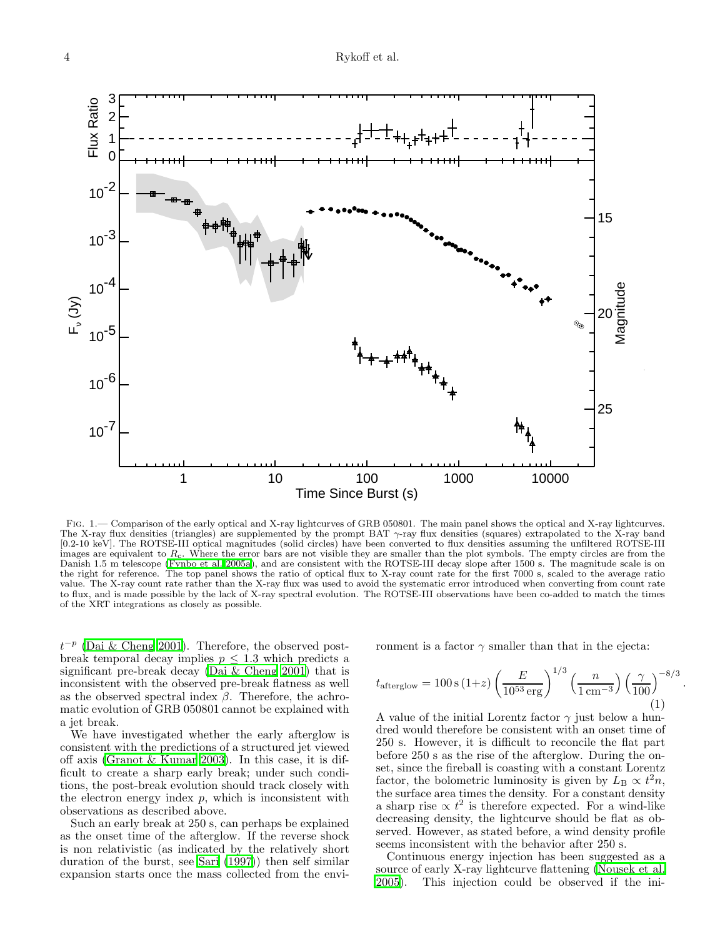

<span id="page-5-0"></span>Fig. 1.— Comparison of the early optical and X-ray lightcurves of GRB 050801. The main panel shows the optical and X-ray lightcurves. The X-ray flux densities (triangles) are supplemented by the prompt BAT γ-ray flux densities (squares) extrapolated to the X-ray band [0.2-10 keV]. The ROTSE-III optical magnitudes (solid circles) have been converted to flux densities assuming the unfiltered ROTSE-III images are equivalent to  $R_c$ . Where the error bars are not visible they are smaller than the plot symbols. The empty circles are from the Danish 1.5 m telescope [\(Fynbo et al. 2005a](#page-6-20)), and are consistent with the ROTSE-III decay slope after 1500 s. The magnitude scale is on the right for reference. The top panel shows the ratio of optical flux to X-ray count rate for the first 7000 s, scaled to the average ratio value. The X-ray count rate rather than the X-ray flux was used to avoid the systematic error introduced when converting from count rate to flux, and is made possible by the lack of X-ray spectral evolution. The ROTSE-III observations have been co-added to match the times of the XRT integrations as closely as possible.

 $t^{-p}$  [\(Dai & Cheng 2001\)](#page-6-21). Therefore, the observed postbreak temporal decay implies  $p \leq 1.3$  which predicts a significant pre-break decay [\(Dai & Cheng 2001\)](#page-6-21) that is inconsistent with the observed pre-break flatness as well as the observed spectral index  $\beta$ . Therefore, the achromatic evolution of GRB 050801 cannot be explained with a jet break.

We have investigated whether the early afterglow is consistent with the predictions of a structured jet viewed off axis [\(Granot & Kumar 2003\)](#page-6-22). In this case, it is difficult to create a sharp early break; under such conditions, the post-break evolution should track closely with the electron energy index  $p$ , which is inconsistent with observations as described above.

Such an early break at 250 s, can perhaps be explained as the onset time of the afterglow. If the reverse shock is non relativistic (as indicated by the relatively short duration of the burst, see [Sari \(1997\)](#page-6-23)) then self similar expansion starts once the mass collected from the environment is a factor  $\gamma$  smaller than that in the ejecta:

$$
t_{\text{afterglow}} = 100 \,\text{s} \,(1+z) \left(\frac{E}{10^{53} \,\text{erg}}\right)^{1/3} \left(\frac{n}{1 \,\text{cm}^{-3}}\right) \left(\frac{\gamma}{100}\right)^{-8/3} \tag{1}
$$

.

A value of the initial Lorentz factor  $\gamma$  just below a hundred would therefore be consistent with an onset time of 250 s. However, it is difficult to reconcile the flat part before 250 s as the rise of the afterglow. During the onset, since the fireball is coasting with a constant Lorentz factor, the bolometric luminosity is given by  $L<sub>B</sub> \propto t^2 n$ , the surface area times the density. For a constant density a sharp rise  $\propto t^2$  is therefore expected. For a wind-like decreasing density, the lightcurve should be flat as observed. However, as stated before, a wind density profile seems inconsistent with the behavior after 250 s.

Continuous energy injection has been suggested as a source of early X-ray lightcurve flattening [\(Nousek et al.](#page-6-1) [2005\)](#page-6-1). This injection could be observed if the ini-